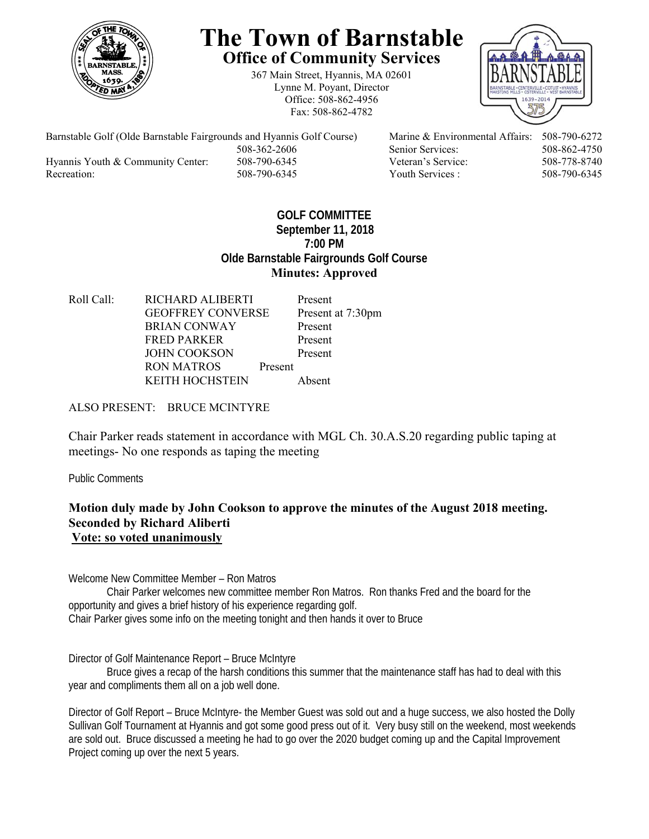

# **The Town of Barnstable Office of Community Services**

367 Main Street, Hyannis, MA 02601 Lynne M. Poyant, Director Office: 508-862-4956 Fax: 508-862-4782



 508-362-2606 Senior Services: 508-862-4750 Hyannis Youth & Community Center: 508-790-6345 Veteran's Service: 508-778-8740 Recreation: 508-790-6345 Youth Services : 508-790-6345 S08-790-6345

Barnstable Golf (Olde Barnstable Fairgrounds and Hyannis Golf Course) Marine & Environmental Affairs: 508-790-6272

### **GOLF COMMITTEE September 11, 2018 7:00 PM Olde Barnstable Fairgrounds Golf Course Minutes: Approved**

Roll Call: RICHARD ALIBERTI Present GEOFFREY CONVERSE Present at 7:30pm BRIAN CONWAY Present FRED PARKER Present JOHN COOKSON Present RON MATROS Present KEITH HOCHSTEIN Absent

#### ALSO PRESENT: BRUCE MCINTYRE

Chair Parker reads statement in accordance with MGL Ch. 30.A.S.20 regarding public taping at meetings- No one responds as taping the meeting

Public Comments

#### **Motion duly made by John Cookson to approve the minutes of the August 2018 meeting. Seconded by Richard Aliberti Vote: so voted unanimously**

Welcome New Committee Member – Ron Matros

 Chair Parker welcomes new committee member Ron Matros. Ron thanks Fred and the board for the opportunity and gives a brief history of his experience regarding golf. Chair Parker gives some info on the meeting tonight and then hands it over to Bruce

Director of Golf Maintenance Report – Bruce McIntyre

Bruce gives a recap of the harsh conditions this summer that the maintenance staff has had to deal with this year and compliments them all on a job well done.

Director of Golf Report – Bruce McIntyre- the Member Guest was sold out and a huge success, we also hosted the Dolly Sullivan Golf Tournament at Hyannis and got some good press out of it. Very busy still on the weekend, most weekends are sold out. Bruce discussed a meeting he had to go over the 2020 budget coming up and the Capital Improvement Project coming up over the next 5 years.